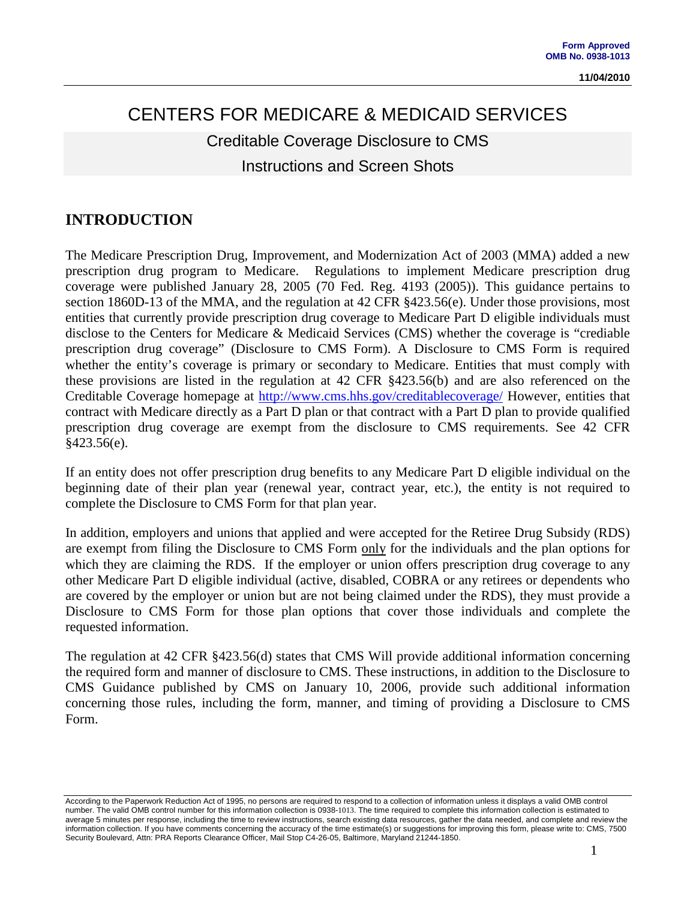# CENTERS FOR MEDICARE & MEDICAID SERVICES Creditable Coverage Disclosure to CMS Instructions and Screen Shots

## **INTRODUCTION**

The Medicare Prescription Drug, Improvement, and Modernization Act of 2003 (MMA) added a new prescription drug program to Medicare. Regulations to implement Medicare prescription drug coverage were published January 28, 2005 (70 Fed. Reg. 4193 (2005)). This guidance pertains to section 1860D-13 of the MMA, and the regulation at 42 CFR §423.56(e). Under those provisions, most entities that currently provide prescription drug coverage to Medicare Part D eligible individuals must disclose to the Centers for Medicare & Medicaid Services (CMS) whether the coverage is "crediable prescription drug coverage" (Disclosure to CMS Form). A Disclosure to CMS Form is required whether the entity's coverage is primary or secondary to Medicare. Entities that must comply with these provisions are listed in the regulation at 42 CFR §423.56(b) and are also referenced on the Creditable Coverage homepage at<http://www.cms.hhs.gov/creditablecoverage/> However, entities that contract with Medicare directly as a Part D plan or that contract with a Part D plan to provide qualified prescription drug coverage are exempt from the disclosure to CMS requirements. See 42 CFR §423.56(e).

If an entity does not offer prescription drug benefits to any Medicare Part D eligible individual on the beginning date of their plan year (renewal year, contract year, etc.), the entity is not required to complete the Disclosure to CMS Form for that plan year.

In addition, employers and unions that applied and were accepted for the Retiree Drug Subsidy (RDS) are exempt from filing the Disclosure to CMS Form only for the individuals and the plan options for which they are claiming the RDS. If the employer or union offers prescription drug coverage to any other Medicare Part D eligible individual (active, disabled, COBRA or any retirees or dependents who are covered by the employer or union but are not being claimed under the RDS), they must provide a Disclosure to CMS Form for those plan options that cover those individuals and complete the requested information.

The regulation at 42 CFR §423.56(d) states that CMS Will provide additional information concerning the required form and manner of disclosure to CMS. These instructions, in addition to the Disclosure to CMS Guidance published by CMS on January 10, 2006, provide such additional information concerning those rules, including the form, manner, and timing of providing a Disclosure to CMS Form.

According to the Paperwork Reduction Act of 1995, no persons are required to respond to a collection of information unless it displays a valid OMB control number. The valid OMB control number for this information collection is 0938-1013. The time required to complete this information collection is estimated to average 5 minutes per response, including the time to review instructions, search existing data resources, gather the data needed, and complete and review the information collection. If you have comments concerning the accuracy of the time estimate(s) or suggestions for improving this form, please write to: CMS, 7500 Security Boulevard, Attn: PRA Reports Clearance Officer, Mail Stop C4-26-05, Baltimore, Maryland 21244-1850.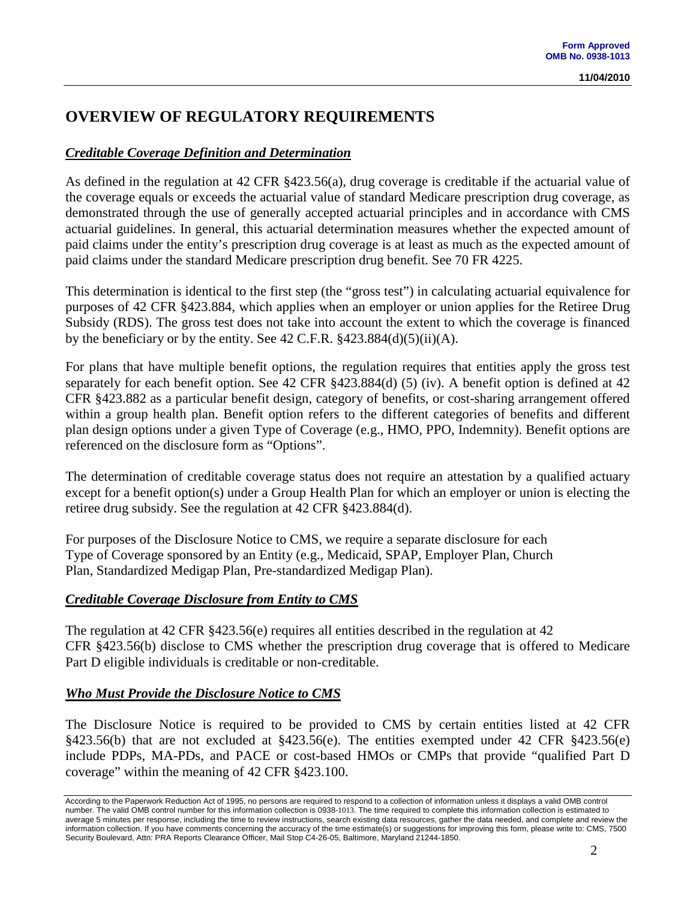## **OVERVIEW OF REGULATORY REQUIREMENTS**

## *Creditable Coverage Definition and Determination*

As defined in the regulation at 42 CFR §423.56(a), drug coverage is creditable if the actuarial value of the coverage equals or exceeds the actuarial value of standard Medicare prescription drug coverage, as demonstrated through the use of generally accepted actuarial principles and in accordance with CMS actuarial guidelines. In general, this actuarial determination measures whether the expected amount of paid claims under the entity's prescription drug coverage is at least as much as the expected amount of paid claims under the standard Medicare prescription drug benefit. See 70 FR 4225.

This determination is identical to the first step (the "gross test") in calculating actuarial equivalence for purposes of 42 CFR §423.884, which applies when an employer or union applies for the Retiree Drug Subsidy (RDS). The gross test does not take into account the extent to which the coverage is financed by the beneficiary or by the entity. See 42 C.F.R.  $\S 423.884(d)(5)(ii)(A)$ .

For plans that have multiple benefit options, the regulation requires that entities apply the gross test separately for each benefit option. See 42 CFR §423.884(d) (5) (iv). A benefit option is defined at 42 CFR §423.882 as a particular benefit design, category of benefits, or cost-sharing arrangement offered within a group health plan. Benefit option refers to the different categories of benefits and different plan design options under a given Type of Coverage (e.g., HMO, PPO, Indemnity). Benefit options are referenced on the disclosure form as "Options".

The determination of creditable coverage status does not require an attestation by a qualified actuary except for a benefit option(s) under a Group Health Plan for which an employer or union is electing the retiree drug subsidy. See the regulation at 42 CFR §423.884(d).

For purposes of the Disclosure Notice to CMS, we require a separate disclosure for each Type of Coverage sponsored by an Entity (e.g., Medicaid, SPAP, Employer Plan, Church Plan, Standardized Medigap Plan, Pre-standardized Medigap Plan).

### *Creditable Coverage Disclosure from Entity to CMS*

The regulation at 42 CFR §423.56(e) requires all entities described in the regulation at 42 CFR §423.56(b) disclose to CMS whether the prescription drug coverage that is offered to Medicare Part D eligible individuals is creditable or non-creditable.

### *Who Must Provide the Disclosure Notice to CMS*

The Disclosure Notice is required to be provided to CMS by certain entities listed at 42 CFR §423.56(b) that are not excluded at §423.56(e). The entities exempted under 42 CFR §423.56(e) include PDPs, MA-PDs, and PACE or cost-based HMOs or CMPs that provide "qualified Part D coverage" within the meaning of 42 CFR §423.100.

According to the Paperwork Reduction Act of 1995, no persons are required to respond to a collection of information unless it displays a valid OMB control number. The valid OMB control number for this information collection is 0938-1013. The time required to complete this information collection is estimated to average 5 minutes per response, including the time to review instructions, search existing data resources, gather the data needed, and complete and review the information collection. If you have comments concerning the accuracy of the time estimate(s) or suggestions for improving this form, please write to: CMS, 7500 Security Boulevard, Attn: PRA Reports Clearance Officer, Mail Stop C4-26-05, Baltimore, Maryland 21244-1850.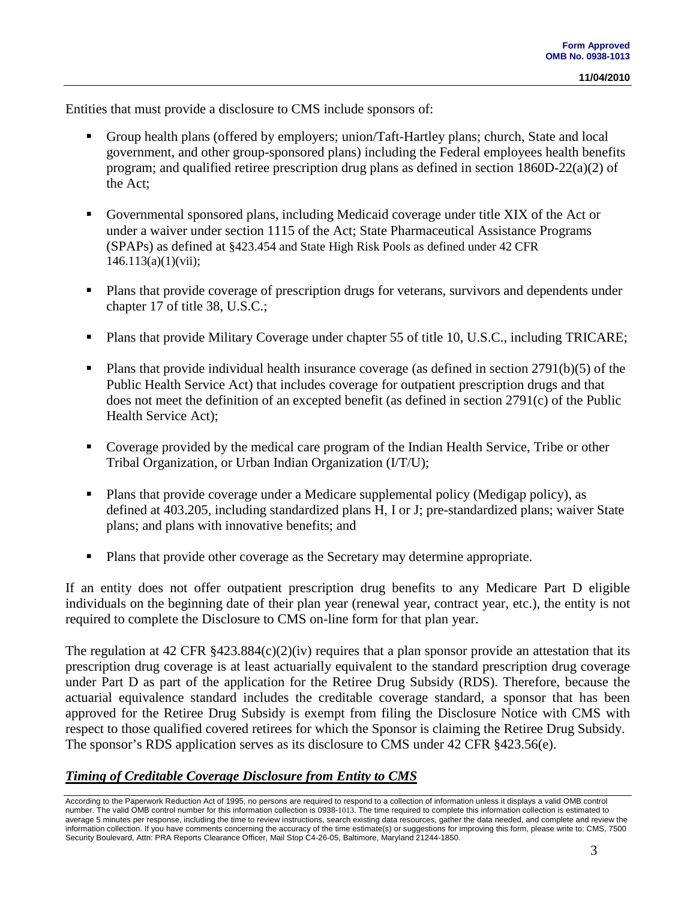Entities that must provide a disclosure to CMS include sponsors of:

- Group health plans (offered by employers; union/Taft-Hartley plans; church, State and local government, and other group-sponsored plans) including the Federal employees health benefits program; and qualified retiree prescription drug plans as defined in section 1860D-22(a)(2) of the Act;
- Governmental sponsored plans, including Medicaid coverage under title XIX of the Act or under a waiver under section 1115 of the Act; State Pharmaceutical Assistance Programs (SPAPs) as defined at §423.454 and State High Risk Pools as defined under 42 CFR 146.113(a)(1)(vii);
- **Plans that provide coverage of prescription drugs for veterans, survivors and dependents under** chapter 17 of title 38, U.S.C.;
- **Plans that provide Military Coverage under chapter 55 of title 10, U.S.C., including TRICARE;**
- Plans that provide individual health insurance coverage (as defined in section  $2791(b)(5)$  of the Public Health Service Act) that includes coverage for outpatient prescription drugs and that does not meet the definition of an excepted benefit (as defined in section 2791(c) of the Public Health Service Act);
- Coverage provided by the medical care program of the Indian Health Service, Tribe or other Tribal Organization, or Urban Indian Organization (I/T/U);
- Plans that provide coverage under a Medicare supplemental policy (Medigap policy), as defined at 403.205, including standardized plans H, I or J; pre-standardized plans; waiver State plans; and plans with innovative benefits; and
- Plans that provide other coverage as the Secretary may determine appropriate.

If an entity does not offer outpatient prescription drug benefits to any Medicare Part D eligible individuals on the beginning date of their plan year (renewal year, contract year, etc.), the entity is not required to complete the Disclosure to CMS on-line form for that plan year.

The regulation at 42 CFR  $\S 423.884(c)(2)(iv)$  requires that a plan sponsor provide an attestation that its prescription drug coverage is at least actuarially equivalent to the standard prescription drug coverage under Part D as part of the application for the Retiree Drug Subsidy (RDS). Therefore, because the actuarial equivalence standard includes the creditable coverage standard, a sponsor that has been approved for the Retiree Drug Subsidy is exempt from filing the Disclosure Notice with CMS with respect to those qualified covered retirees for which the Sponsor is claiming the Retiree Drug Subsidy. The sponsor's RDS application serves as its disclosure to CMS under 42 CFR §423.56(e).

### *Timing of Creditable Coverage Disclosure from Entity to CMS*

According to the Paperwork Reduction Act of 1995, no persons are required to respond to a collection of information unless it displays a valid OMB control number. The valid OMB control number for this information collection is 0938-1013. The time required to complete this information collection is estimated to average 5 minutes per response, including the time to review instructions, search existing data resources, gather the data needed, and complete and review the information collection. If you have comments concerning the accuracy of the time estimate(s) or suggestions for improving this form, please write to: CMS, 7500 Security Boulevard, Attn: PRA Reports Clearance Officer, Mail Stop C4-26-05, Baltimore, Maryland 21244-1850.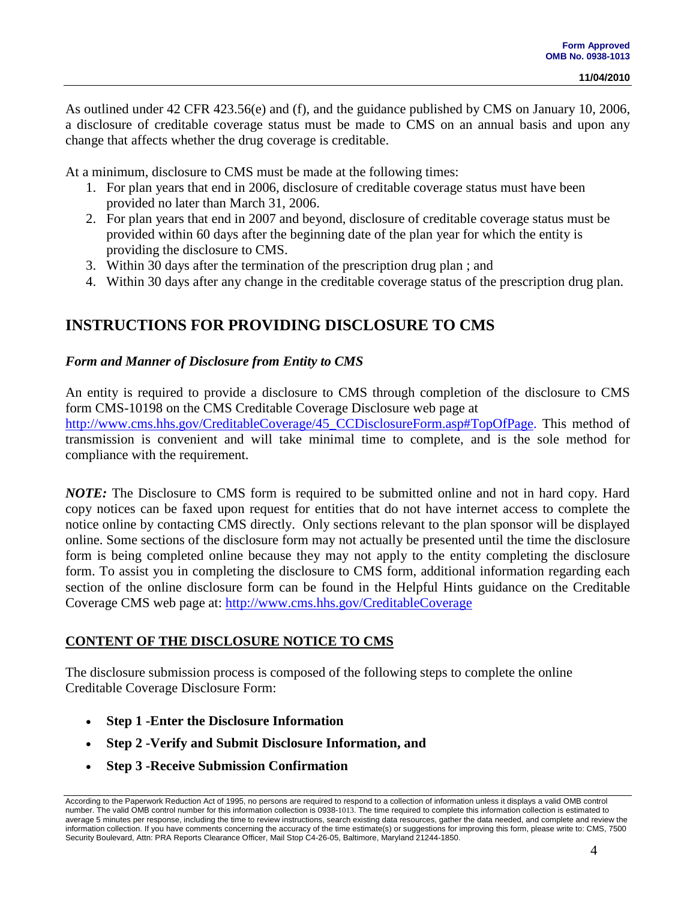As outlined under 42 CFR 423.56(e) and (f), and the guidance published by CMS on January 10, 2006, a disclosure of creditable coverage status must be made to CMS on an annual basis and upon any change that affects whether the drug coverage is creditable.

At a minimum, disclosure to CMS must be made at the following times:

- 1. For plan years that end in 2006, disclosure of creditable coverage status must have been provided no later than March 31, 2006.
- 2. For plan years that end in 2007 and beyond, disclosure of creditable coverage status must be provided within 60 days after the beginning date of the plan year for which the entity is providing the disclosure to CMS.
- 3. Within 30 days after the termination of the prescription drug plan ; and
- 4. Within 30 days after any change in the creditable coverage status of the prescription drug plan.

## **INSTRUCTIONS FOR PROVIDING DISCLOSURE TO CMS**

#### *Form and Manner of Disclosure from Entity to CMS*

An entity is required to provide a disclosure to CMS through completion of the disclosure to CMS form CMS-10198 on the CMS Creditable Coverage Disclosure web page at [http://www.cms.hhs.gov/CreditableCoverage/45\\_CCDisclosureForm.asp#TopOfPage.](http://www.cms.hhs.gov/CreditableCoverage/45_CCDisclosureForm.asp#TopOfPage) This method of transmission is convenient and will take minimal time to complete, and is the sole method for compliance with the requirement.

*NOTE:* The Disclosure to CMS form is required to be submitted online and not in hard copy. Hard copy notices can be faxed upon request for entities that do not have internet access to complete the notice online by contacting CMS directly. Only sections relevant to the plan sponsor will be displayed online. Some sections of the disclosure form may not actually be presented until the time the disclosure form is being completed online because they may not apply to the entity completing the disclosure form. To assist you in completing the disclosure to CMS form, additional information regarding each section of the online disclosure form can be found in the Helpful Hints guidance on the Creditable Coverage CMS web page at:<http://www.cms.hhs.gov/CreditableCoverage>

### **CONTENT OF THE DISCLOSURE NOTICE TO CMS**

The disclosure submission process is composed of the following steps to complete the online Creditable Coverage Disclosure Form:

- **Step 1 -Enter the Disclosure Information**
- **Step 2 -Verify and Submit Disclosure Information, and**
- **Step 3 -Receive Submission Confirmation**

According to the Paperwork Reduction Act of 1995, no persons are required to respond to a collection of information unless it displays a valid OMB control number. The valid OMB control number for this information collection is 0938-1013. The time required to complete this information collection is estimated to average 5 minutes per response, including the time to review instructions, search existing data resources, gather the data needed, and complete and review the information collection. If you have comments concerning the accuracy of the time estimate(s) or suggestions for improving this form, please write to: CMS, 7500 Security Boulevard, Attn: PRA Reports Clearance Officer, Mail Stop C4-26-05, Baltimore, Maryland 21244-1850.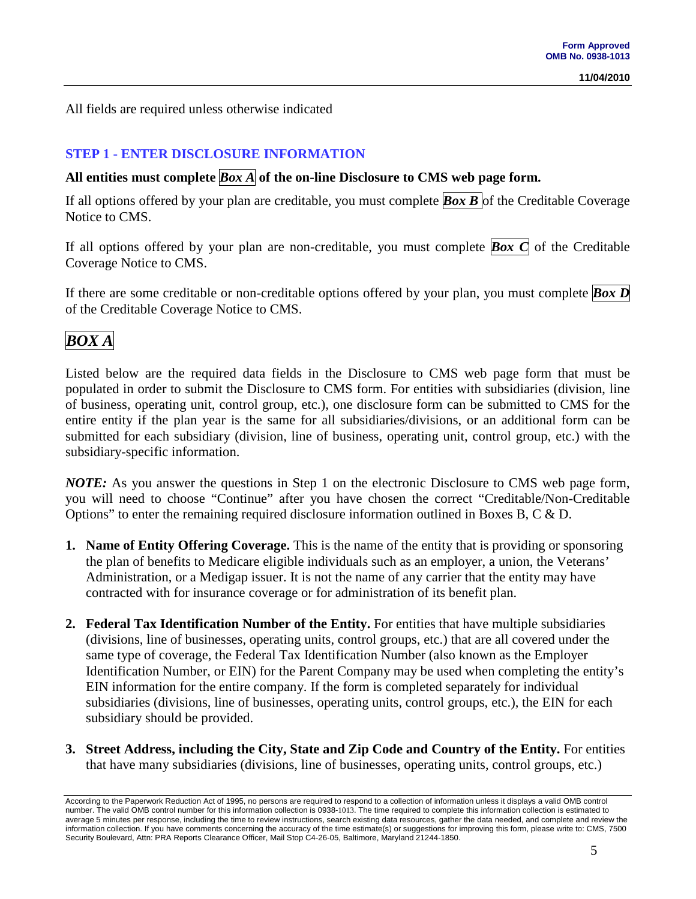All fields are required unless otherwise indicated

## **STEP 1 - ENTER DISCLOSURE INFORMATION**

## **All entities must complete** *Box A* **of the on-line Disclosure to CMS web page form.**

If all options offered by your plan are creditable, you must complete *Box B* of the Creditable Coverage Notice to CMS.

If all options offered by your plan are non-creditable, you must complete **Box C** of the Creditable Coverage Notice to CMS.

If there are some creditable or non-creditable options offered by your plan, you must complete *Box D* of the Creditable Coverage Notice to CMS.

## *BOX A*

Listed below are the required data fields in the Disclosure to CMS web page form that must be populated in order to submit the Disclosure to CMS form. For entities with subsidiaries (division, line of business, operating unit, control group, etc.), one disclosure form can be submitted to CMS for the entire entity if the plan year is the same for all subsidiaries/divisions, or an additional form can be submitted for each subsidiary (division, line of business, operating unit, control group, etc.) with the subsidiary-specific information.

*NOTE:* As you answer the questions in Step 1 on the electronic Disclosure to CMS web page form, you will need to choose "Continue" after you have chosen the correct "Creditable/Non-Creditable Options" to enter the remaining required disclosure information outlined in Boxes B, C & D.

- **1. Name of Entity Offering Coverage.** This is the name of the entity that is providing or sponsoring the plan of benefits to Medicare eligible individuals such as an employer, a union, the Veterans' Administration, or a Medigap issuer. It is not the name of any carrier that the entity may have contracted with for insurance coverage or for administration of its benefit plan.
- **2. Federal Tax Identification Number of the Entity.** For entities that have multiple subsidiaries (divisions, line of businesses, operating units, control groups, etc.) that are all covered under the same type of coverage, the Federal Tax Identification Number (also known as the Employer Identification Number, or EIN) for the Parent Company may be used when completing the entity's EIN information for the entire company. If the form is completed separately for individual subsidiaries (divisions, line of businesses, operating units, control groups, etc.), the EIN for each subsidiary should be provided.
- **3. Street Address, including the City, State and Zip Code and Country of the Entity.** For entities that have many subsidiaries (divisions, line of businesses, operating units, control groups, etc.)

According to the Paperwork Reduction Act of 1995, no persons are required to respond to a collection of information unless it displays a valid OMB control number. The valid OMB control number for this information collection is 0938-1013. The time required to complete this information collection is estimated to average 5 minutes per response, including the time to review instructions, search existing data resources, gather the data needed, and complete and review the information collection. If you have comments concerning the accuracy of the time estimate(s) or suggestions for improving this form, please write to: CMS, 7500 Security Boulevard, Attn: PRA Reports Clearance Officer, Mail Stop C4-26-05, Baltimore, Maryland 21244-1850.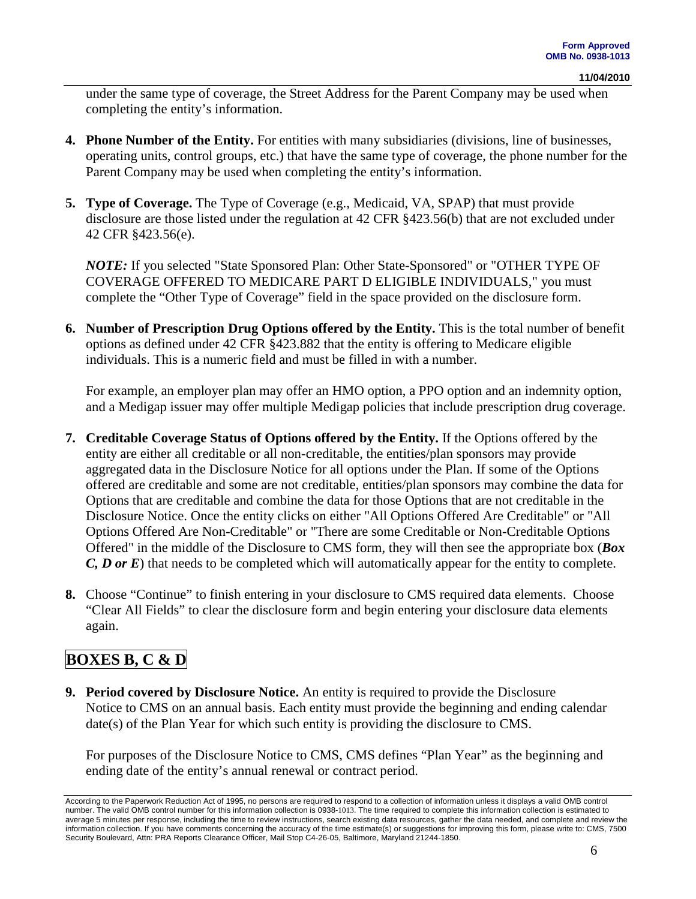under the same type of coverage, the Street Address for the Parent Company may be used when completing the entity's information.

- **4. Phone Number of the Entity.** For entities with many subsidiaries (divisions, line of businesses, operating units, control groups, etc.) that have the same type of coverage, the phone number for the Parent Company may be used when completing the entity's information.
- **5. Type of Coverage.** The Type of Coverage (e.g., Medicaid, VA, SPAP) that must provide disclosure are those listed under the regulation at 42 CFR §423.56(b) that are not excluded under 42 CFR §423.56(e).

*NOTE:* If you selected "State Sponsored Plan: Other State-Sponsored" or "OTHER TYPE OF COVERAGE OFFERED TO MEDICARE PART D ELIGIBLE INDIVIDUALS," you must complete the "Other Type of Coverage" field in the space provided on the disclosure form.

**6. Number of Prescription Drug Options offered by the Entity.** This is the total number of benefit options as defined under 42 CFR §423.882 that the entity is offering to Medicare eligible individuals. This is a numeric field and must be filled in with a number.

For example, an employer plan may offer an HMO option, a PPO option and an indemnity option, and a Medigap issuer may offer multiple Medigap policies that include prescription drug coverage.

- **7. Creditable Coverage Status of Options offered by the Entity.** If the Options offered by the entity are either all creditable or all non-creditable, the entities/plan sponsors may provide aggregated data in the Disclosure Notice for all options under the Plan. If some of the Options offered are creditable and some are not creditable, entities/plan sponsors may combine the data for Options that are creditable and combine the data for those Options that are not creditable in the Disclosure Notice. Once the entity clicks on either "All Options Offered Are Creditable" or "All Options Offered Are Non-Creditable" or "There are some Creditable or Non-Creditable Options Offered" in the middle of the Disclosure to CMS form, they will then see the appropriate box (*Box C, D or E*) that needs to be completed which will automatically appear for the entity to complete.
- **8.** Choose "Continue" to finish entering in your disclosure to CMS required data elements. Choose "Clear All Fields" to clear the disclosure form and begin entering your disclosure data elements again.

## **BOXES B, C & D**

**9. Period covered by Disclosure Notice.** An entity is required to provide the Disclosure Notice to CMS on an annual basis. Each entity must provide the beginning and ending calendar date(s) of the Plan Year for which such entity is providing the disclosure to CMS.

For purposes of the Disclosure Notice to CMS, CMS defines "Plan Year" as the beginning and ending date of the entity's annual renewal or contract period.

According to the Paperwork Reduction Act of 1995, no persons are required to respond to a collection of information unless it displays a valid OMB control number. The valid OMB control number for this information collection is 0938-1013. The time required to complete this information collection is estimated to average 5 minutes per response, including the time to review instructions, search existing data resources, gather the data needed, and complete and review the information collection. If you have comments concerning the accuracy of the time estimate(s) or suggestions for improving this form, please write to: CMS, 7500 Security Boulevard, Attn: PRA Reports Clearance Officer, Mail Stop C4-26-05, Baltimore, Maryland 21244-1850.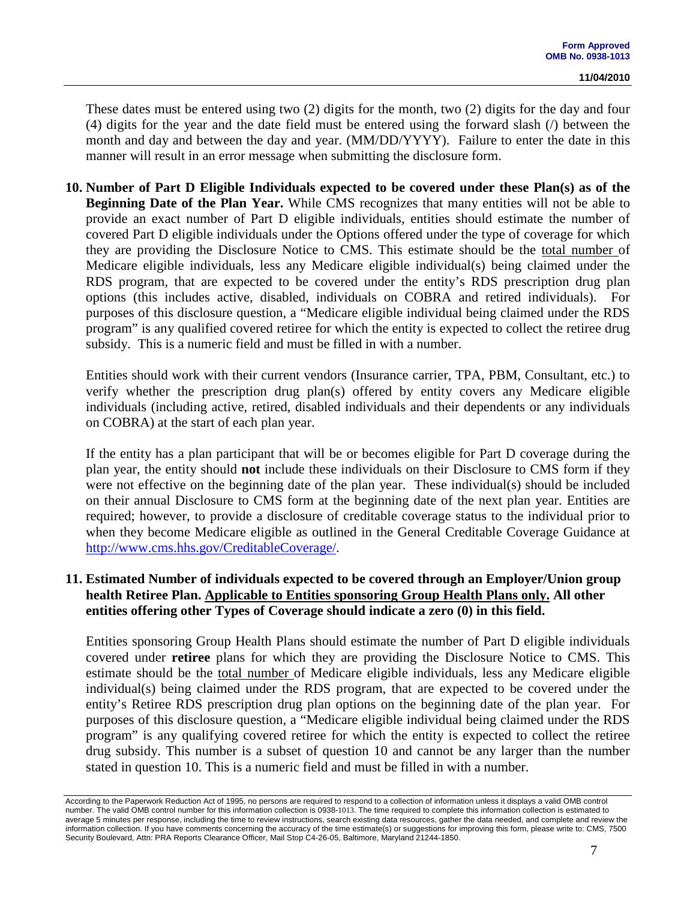These dates must be entered using two (2) digits for the month, two (2) digits for the day and four (4) digits for the year and the date field must be entered using the forward slash (/) between the month and day and between the day and year. (MM/DD/YYYY). Failure to enter the date in this manner will result in an error message when submitting the disclosure form.

**10. Number of Part D Eligible Individuals expected to be covered under these Plan(s) as of the Beginning Date of the Plan Year.** While CMS recognizes that many entities will not be able to provide an exact number of Part D eligible individuals, entities should estimate the number of covered Part D eligible individuals under the Options offered under the type of coverage for which they are providing the Disclosure Notice to CMS. This estimate should be the total number of Medicare eligible individuals, less any Medicare eligible individual(s) being claimed under the RDS program, that are expected to be covered under the entity's RDS prescription drug plan options (this includes active, disabled, individuals on COBRA and retired individuals). For purposes of this disclosure question, a "Medicare eligible individual being claimed under the RDS program" is any qualified covered retiree for which the entity is expected to collect the retiree drug subsidy. This is a numeric field and must be filled in with a number.

Entities should work with their current vendors (Insurance carrier, TPA, PBM, Consultant, etc.) to verify whether the prescription drug plan(s) offered by entity covers any Medicare eligible individuals (including active, retired, disabled individuals and their dependents or any individuals on COBRA) at the start of each plan year.

If the entity has a plan participant that will be or becomes eligible for Part D coverage during the plan year, the entity should **not** include these individuals on their Disclosure to CMS form if they were not effective on the beginning date of the plan year. These individual(s) should be included on their annual Disclosure to CMS form at the beginning date of the next plan year. Entities are required; however, to provide a disclosure of creditable coverage status to the individual prior to when they become Medicare eligible as outlined in the General Creditable Coverage Guidance at [http://www.cms.hhs.gov/CreditableCoverage/.](http://www.cms.hhs.gov/CreditableCoverage/)

### **11. Estimated Number of individuals expected to be covered through an Employer/Union group health Retiree Plan. Applicable to Entities sponsoring Group Health Plans only. All other entities offering other Types of Coverage should indicate a zero (0) in this field.**

Entities sponsoring Group Health Plans should estimate the number of Part D eligible individuals covered under **retiree** plans for which they are providing the Disclosure Notice to CMS. This estimate should be the total number of Medicare eligible individuals, less any Medicare eligible individual(s) being claimed under the RDS program, that are expected to be covered under the entity's Retiree RDS prescription drug plan options on the beginning date of the plan year. For purposes of this disclosure question, a "Medicare eligible individual being claimed under the RDS program" is any qualifying covered retiree for which the entity is expected to collect the retiree drug subsidy. This number is a subset of question 10 and cannot be any larger than the number stated in question 10. This is a numeric field and must be filled in with a number.

According to the Paperwork Reduction Act of 1995, no persons are required to respond to a collection of information unless it displays a valid OMB control number. The valid OMB control number for this information collection is 0938-1013. The time required to complete this information collection is estimated to average 5 minutes per response, including the time to review instructions, search existing data resources, gather the data needed, and complete and review the information collection. If you have comments concerning the accuracy of the time estimate(s) or suggestions for improving this form, please write to: CMS, 7500 Security Boulevard, Attn: PRA Reports Clearance Officer, Mail Stop C4-26-05, Baltimore, Maryland 21244-1850.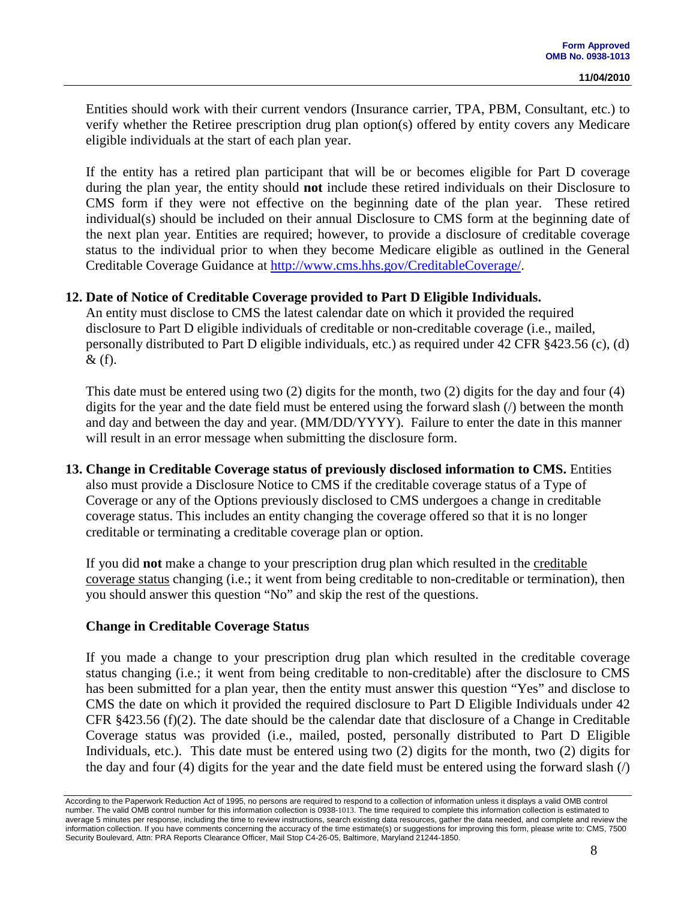Entities should work with their current vendors (Insurance carrier, TPA, PBM, Consultant, etc.) to verify whether the Retiree prescription drug plan option(s) offered by entity covers any Medicare eligible individuals at the start of each plan year.

If the entity has a retired plan participant that will be or becomes eligible for Part D coverage during the plan year, the entity should **not** include these retired individuals on their Disclosure to CMS form if they were not effective on the beginning date of the plan year. These retired individual(s) should be included on their annual Disclosure to CMS form at the beginning date of the next plan year. Entities are required; however, to provide a disclosure of creditable coverage status to the individual prior to when they become Medicare eligible as outlined in the General Creditable Coverage Guidance at [http://www.cms.hhs.gov/CreditableCoverage/.](http://www.cms.hhs.gov/CreditableCoverage/)

#### **12. Date of Notice of Creditable Coverage provided to Part D Eligible Individuals.**

An entity must disclose to CMS the latest calendar date on which it provided the required disclosure to Part D eligible individuals of creditable or non-creditable coverage (i.e., mailed, personally distributed to Part D eligible individuals, etc.) as required under 42 CFR §423.56 (c), (d)  $\&$  (f).

This date must be entered using two (2) digits for the month, two (2) digits for the day and four (4) digits for the year and the date field must be entered using the forward slash (/) between the month and day and between the day and year. (MM/DD/YYYY). Failure to enter the date in this manner will result in an error message when submitting the disclosure form.

#### **13. Change in Creditable Coverage status of previously disclosed information to CMS.** Entities also must provide a Disclosure Notice to CMS if the creditable coverage status of a Type of Coverage or any of the Options previously disclosed to CMS undergoes a change in creditable coverage status. This includes an entity changing the coverage offered so that it is no longer creditable or terminating a creditable coverage plan or option.

If you did **not** make a change to your prescription drug plan which resulted in the creditable coverage status changing (i.e.; it went from being creditable to non-creditable or termination), then you should answer this question "No" and skip the rest of the questions.

#### **Change in Creditable Coverage Status**

If you made a change to your prescription drug plan which resulted in the creditable coverage status changing (i.e.; it went from being creditable to non-creditable) after the disclosure to CMS has been submitted for a plan year, then the entity must answer this question "Yes" and disclose to CMS the date on which it provided the required disclosure to Part D Eligible Individuals under 42 CFR §423.56 (f)(2). The date should be the calendar date that disclosure of a Change in Creditable Coverage status was provided (i.e., mailed, posted, personally distributed to Part D Eligible Individuals, etc.). This date must be entered using two (2) digits for the month, two (2) digits for the day and four (4) digits for the year and the date field must be entered using the forward slash (/)

According to the Paperwork Reduction Act of 1995, no persons are required to respond to a collection of information unless it displays a valid OMB control number. The valid OMB control number for this information collection is 0938-1013. The time required to complete this information collection is estimated to average 5 minutes per response, including the time to review instructions, search existing data resources, gather the data needed, and complete and review the information collection. If you have comments concerning the accuracy of the time estimate(s) or suggestions for improving this form, please write to: CMS, 7500 Security Boulevard, Attn: PRA Reports Clearance Officer, Mail Stop C4-26-05, Baltimore, Maryland 21244-1850.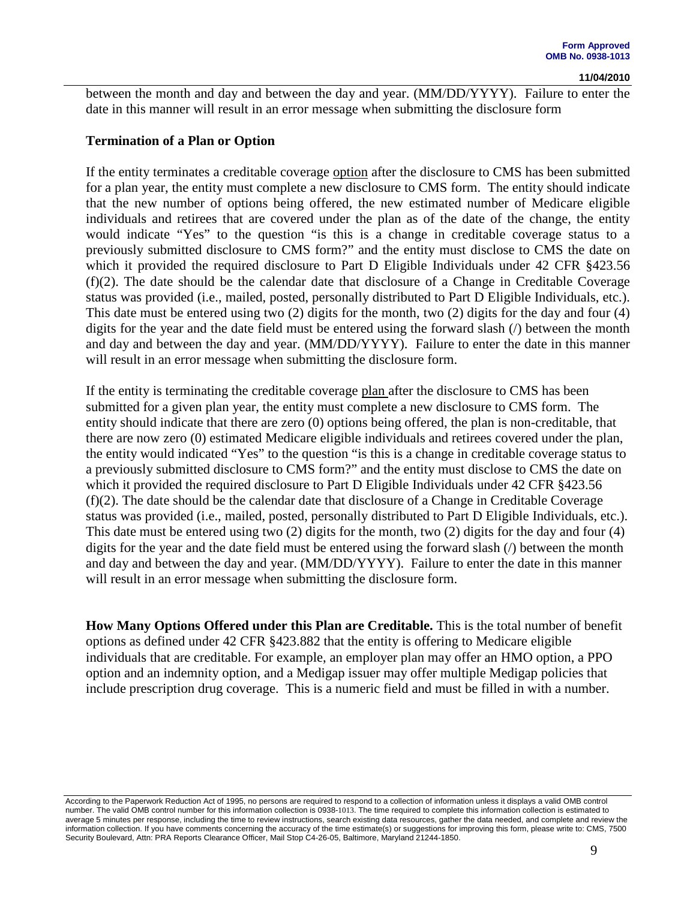between the month and day and between the day and year. (MM/DD/YYYY). Failure to enter the date in this manner will result in an error message when submitting the disclosure form

#### **Termination of a Plan or Option**

If the entity terminates a creditable coverage option after the disclosure to CMS has been submitted for a plan year, the entity must complete a new disclosure to CMS form. The entity should indicate that the new number of options being offered, the new estimated number of Medicare eligible individuals and retirees that are covered under the plan as of the date of the change, the entity would indicate "Yes" to the question "is this is a change in creditable coverage status to a previously submitted disclosure to CMS form?" and the entity must disclose to CMS the date on which it provided the required disclosure to Part D Eligible Individuals under 42 CFR §423.56 (f)(2). The date should be the calendar date that disclosure of a Change in Creditable Coverage status was provided (i.e., mailed, posted, personally distributed to Part D Eligible Individuals, etc.). This date must be entered using two (2) digits for the month, two (2) digits for the day and four (4) digits for the year and the date field must be entered using the forward slash (/) between the month and day and between the day and year. (MM/DD/YYYY). Failure to enter the date in this manner will result in an error message when submitting the disclosure form.

If the entity is terminating the creditable coverage plan after the disclosure to CMS has been submitted for a given plan year, the entity must complete a new disclosure to CMS form. The entity should indicate that there are zero (0) options being offered, the plan is non-creditable, that there are now zero (0) estimated Medicare eligible individuals and retirees covered under the plan, the entity would indicated "Yes" to the question "is this is a change in creditable coverage status to a previously submitted disclosure to CMS form?" and the entity must disclose to CMS the date on which it provided the required disclosure to Part D Eligible Individuals under 42 CFR §423.56 (f)(2). The date should be the calendar date that disclosure of a Change in Creditable Coverage status was provided (i.e., mailed, posted, personally distributed to Part D Eligible Individuals, etc.). This date must be entered using two (2) digits for the month, two (2) digits for the day and four (4) digits for the year and the date field must be entered using the forward slash (/) between the month and day and between the day and year. (MM/DD/YYYY). Failure to enter the date in this manner will result in an error message when submitting the disclosure form.

**How Many Options Offered under this Plan are Creditable.** This is the total number of benefit options as defined under 42 CFR §423.882 that the entity is offering to Medicare eligible individuals that are creditable. For example, an employer plan may offer an HMO option, a PPO option and an indemnity option, and a Medigap issuer may offer multiple Medigap policies that include prescription drug coverage. This is a numeric field and must be filled in with a number.

According to the Paperwork Reduction Act of 1995, no persons are required to respond to a collection of information unless it displays a valid OMB control number. The valid OMB control number for this information collection is 0938-1013. The time required to complete this information collection is estimated to average 5 minutes per response, including the time to review instructions, search existing data resources, gather the data needed, and complete and review the information collection. If you have comments concerning the accuracy of the time estimate(s) or suggestions for improving this form, please write to: CMS, 7500 Security Boulevard, Attn: PRA Reports Clearance Officer, Mail Stop C4-26-05, Baltimore, Maryland 21244-1850.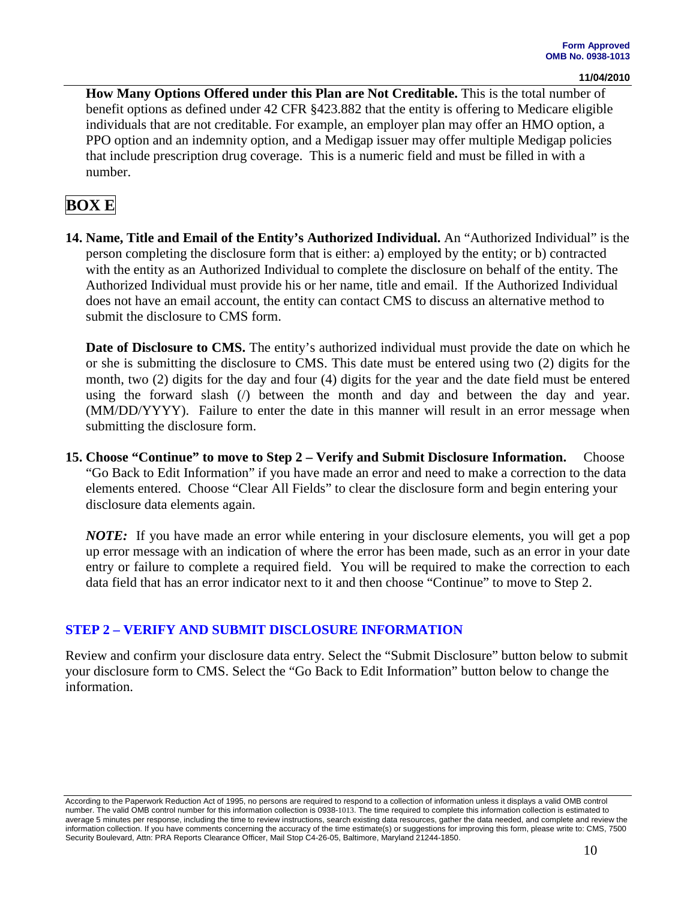**How Many Options Offered under this Plan are Not Creditable.** This is the total number of benefit options as defined under 42 CFR §423.882 that the entity is offering to Medicare eligible individuals that are not creditable. For example, an employer plan may offer an HMO option, a PPO option and an indemnity option, and a Medigap issuer may offer multiple Medigap policies that include prescription drug coverage. This is a numeric field and must be filled in with a number.

## **BOX E**

**14. Name, Title and Email of the Entity's Authorized Individual.** An "Authorized Individual" is the person completing the disclosure form that is either: a) employed by the entity; or b) contracted with the entity as an Authorized Individual to complete the disclosure on behalf of the entity. The Authorized Individual must provide his or her name, title and email. If the Authorized Individual does not have an email account, the entity can contact CMS to discuss an alternative method to submit the disclosure to CMS form.

**Date of Disclosure to CMS.** The entity's authorized individual must provide the date on which he or she is submitting the disclosure to CMS. This date must be entered using two (2) digits for the month, two (2) digits for the day and four (4) digits for the year and the date field must be entered using the forward slash (*/*) between the month and day and between the day and year. (MM/DD/YYYY). Failure to enter the date in this manner will result in an error message when submitting the disclosure form.

**15. Choose "Continue" to move to Step 2 – Verify and Submit Disclosure Information.** Choose "Go Back to Edit Information" if you have made an error and need to make a correction to the data elements entered. Choose "Clear All Fields" to clear the disclosure form and begin entering your disclosure data elements again.

*NOTE:* If you have made an error while entering in your disclosure elements, you will get a pop up error message with an indication of where the error has been made, such as an error in your date entry or failure to complete a required field. You will be required to make the correction to each data field that has an error indicator next to it and then choose "Continue" to move to Step 2.

### **STEP 2 – VERIFY AND SUBMIT DISCLOSURE INFORMATION**

Review and confirm your disclosure data entry. Select the "Submit Disclosure" button below to submit your disclosure form to CMS. Select the "Go Back to Edit Information" button below to change the information.

According to the Paperwork Reduction Act of 1995, no persons are required to respond to a collection of information unless it displays a valid OMB control number. The valid OMB control number for this information collection is 0938-1013. The time required to complete this information collection is estimated to average 5 minutes per response, including the time to review instructions, search existing data resources, gather the data needed, and complete and review the information collection. If you have comments concerning the accuracy of the time estimate(s) or suggestions for improving this form, please write to: CMS, 7500 Security Boulevard, Attn: PRA Reports Clearance Officer, Mail Stop C4-26-05, Baltimore, Maryland 21244-1850.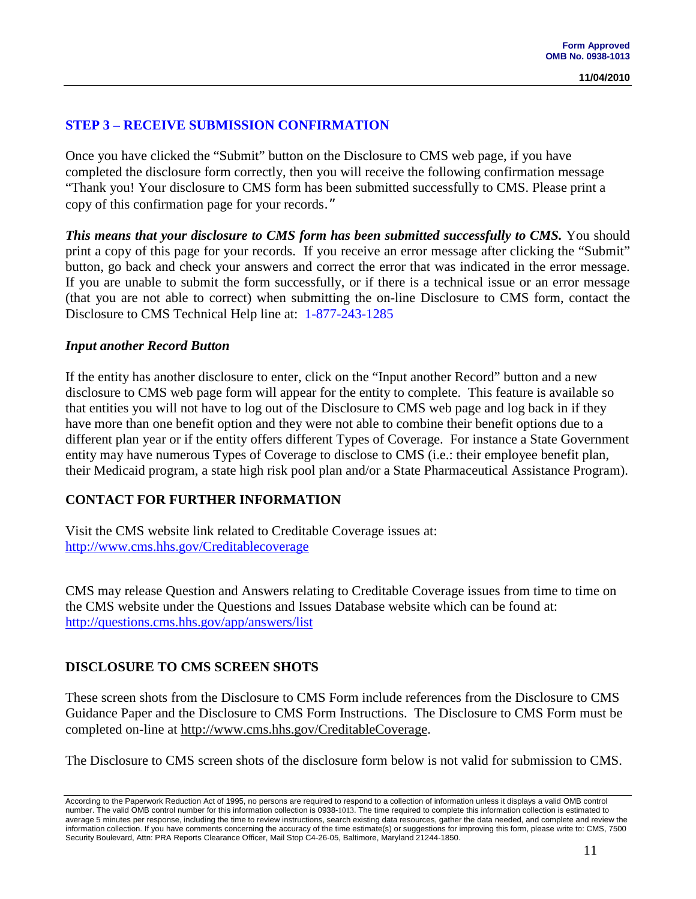### **STEP 3 – RECEIVE SUBMISSION CONFIRMATION**

Once you have clicked the "Submit" button on the Disclosure to CMS web page, if you have completed the disclosure form correctly, then you will receive the following confirmation message "Thank you! Your disclosure to CMS form has been submitted successfully to CMS. Please print a copy of this confirmation page for your records."

*This means that your disclosure to CMS form has been submitted successfully to CMS.* **You should** print a copy of this page for your records. If you receive an error message after clicking the "Submit" button, go back and check your answers and correct the error that was indicated in the error message. If you are unable to submit the form successfully, or if there is a technical issue or an error message (that you are not able to correct) when submitting the on-line Disclosure to CMS form, contact the Disclosure to CMS Technical Help line at:1-877-243-1285

#### *Input another Record Button*

If the entity has another disclosure to enter, click on the "Input another Record" button and a new disclosure to CMS web page form will appear for the entity to complete. This feature is available so that entities you will not have to log out of the Disclosure to CMS web page and log back in if they have more than one benefit option and they were not able to combine their benefit options due to a different plan year or if the entity offers different Types of Coverage. For instance a State Government entity may have numerous Types of Coverage to disclose to CMS (i.e.: their employee benefit plan, their Medicaid program, a state high risk pool plan and/or a State Pharmaceutical Assistance Program).

### **CONTACT FOR FURTHER INFORMATION**

Visit the CMS website link related to Creditable Coverage issues at: <http://www.cms.hhs.gov/Creditablecoverage>

CMS may release Question and Answers relating to Creditable Coverage issues from time to time on the CMS website under the Questions and Issues Database website which can be found at: http://questions.cms.hhs.gov/app/answers/list

#### **DISCLOSURE TO CMS SCREEN SHOTS**

These screen shots from the Disclosure to CMS Form include references from the Disclosure to CMS Guidance Paper and the Disclosure to CMS Form Instructions. The Disclosure to CMS Form must be completed on-line at [http://www.cms.hhs.gov/CreditableCoverage.](http://www.cms.hhs.gov/CreditableCoverage)

The Disclosure to CMS screen shots of the disclosure form below is not valid for submission to CMS.

According to the Paperwork Reduction Act of 1995, no persons are required to respond to a collection of information unless it displays a valid OMB control number. The valid OMB control number for this information collection is 0938-1013. The time required to complete this information collection is estimated to average 5 minutes per response, including the time to review instructions, search existing data resources, gather the data needed, and complete and review the information collection. If you have comments concerning the accuracy of the time estimate(s) or suggestions for improving this form, please write to: CMS, 7500 Security Boulevard, Attn: PRA Reports Clearance Officer, Mail Stop C4-26-05, Baltimore, Maryland 21244-1850.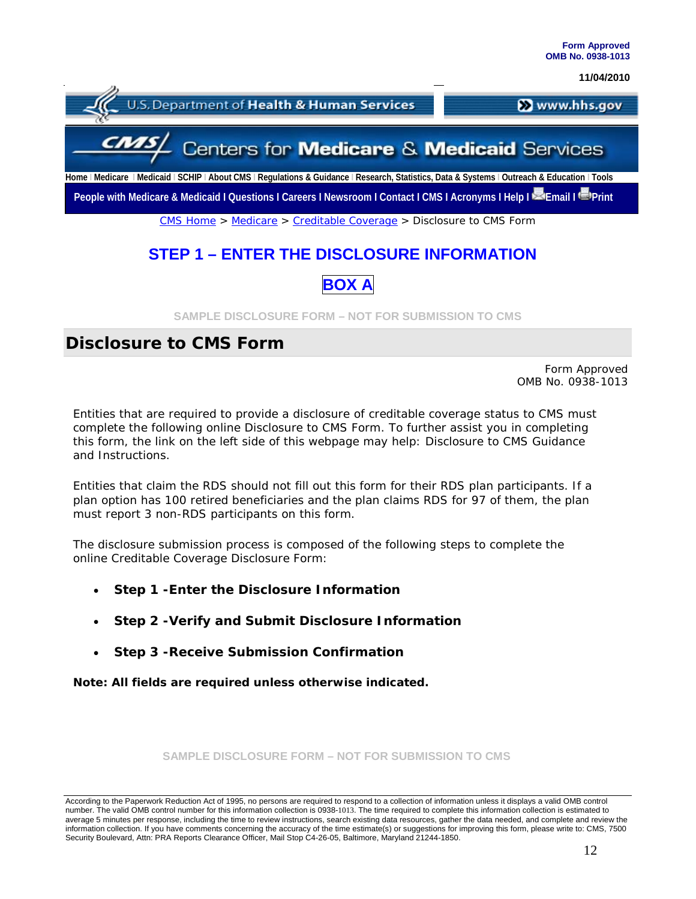

## **STEP 1 – ENTER THE DISCLOSURE INFORMATION**

## **BOX A**

**SAMPLE DISCLOSURE FORM – NOT FOR SUBMISSION TO CMS**

## **Disclosure to CMS Form**

Form Approved OMB No. 0938-1013

Entities that are required to provide a disclosure of creditable coverage status to CMS must complete the following online Disclosure to CMS Form. To further assist you in completing this form, the link on the left side of this webpage may help: Disclosure to CMS Guidance and Instructions.

Entities that claim the RDS should not fill out this form for their RDS plan participants. If a plan option has 100 retired beneficiaries and the plan claims RDS for 97 of them, the plan must report 3 non-RDS participants on this form.

The disclosure submission process is composed of the following steps to complete the online Creditable Coverage Disclosure Form:

- **Step 1 -Enter the Disclosure Information**
- **Step 2 -Verify and Submit Disclosure Information**
- **Step 3 -Receive Submission Confirmation**

**Note: All fields are required unless otherwise indicated.**

**SAMPLE DISCLOSURE FORM – NOT FOR SUBMISSION TO CMS**

According to the Paperwork Reduction Act of 1995, no persons are required to respond to a collection of information unless it displays a valid OMB control number. The valid OMB control number for this information collection is 0938-1013. The time required to complete this information collection is estimated to average 5 minutes per response, including the time to review instructions, search existing data resources, gather the data needed, and complete and review the information collection. If you have comments concerning the accuracy of the time estimate(s) or suggestions for improving this form, please write to: CMS, 7500 Security Boulevard, Attn: PRA Reports Clearance Officer, Mail Stop C4-26-05, Baltimore, Maryland 21244-1850.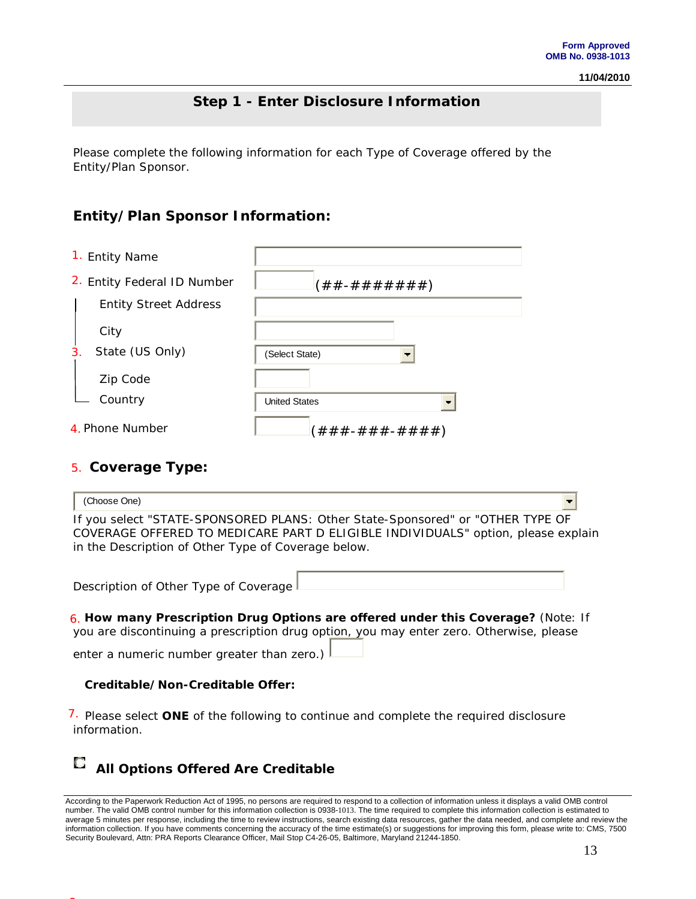## **Step 1 - Enter Disclosure Information**

Please complete the following information for each Type of Coverage offered by the Entity/Plan Sponsor.

## **Entity/Plan Sponsor Information:**

I

1. Entity Name

| $-$ ,                        |                              |
|------------------------------|------------------------------|
| 2. Entity Federal ID Number  | $(\# \#$ - # # # # # # # $)$ |
| <b>Entity Street Address</b> |                              |
| City                         |                              |
| State (US Only)<br>3.        | (Select State)               |
| Zip Code                     |                              |
| Country                      | <b>United States</b>         |
| 4. Phone Number              | (###-###-####)               |

### **Coverage Type:**  5.

8.

| (Choose One)                                                                                                                                                                                                              |  |
|---------------------------------------------------------------------------------------------------------------------------------------------------------------------------------------------------------------------------|--|
| If you select "STATE-SPONSORED PLANS: Other State-Sponsored" or "OTHER TYPE OF<br>COVERAGE OFFERED TO MEDICARE PART D ELIGIBLE INDIVIDUALS" option, please explain<br>in the Description of Other Type of Coverage below. |  |
| Description of Other Type of Coverage                                                                                                                                                                                     |  |
| 6. How many Prescription Drug Options are offered under this Coverage? (Note: If<br>you are discontinuing a prescription drug option, you may enter zero. Otherwise, please                                               |  |

enter a numeric number greater than zero.)  $\Box$ 

#### **Creditable/Non-Creditable Offer:**

7. Please select ONE of the following to continue and complete the required disclosure information.

# **All Options Offered Are Creditable**

According to the Paperwork Reduction Act of 1995, no persons are required to respond to a collection of information unless it displays a valid OMB control number. The valid OMB control number for this information collection is 0938-1013. The time required to complete this information collection is estimated to average 5 minutes per response, including the time to review instructions, search existing data resources, gather the data needed, and complete and review the information collection. If you have comments concerning the accuracy of the time estimate(s) or suggestions for improving this form, please write to: CMS, 7500 Security Boulevard, Attn: PRA Reports Clearance Officer, Mail Stop C4-26-05, Baltimore, Maryland 21244-1850.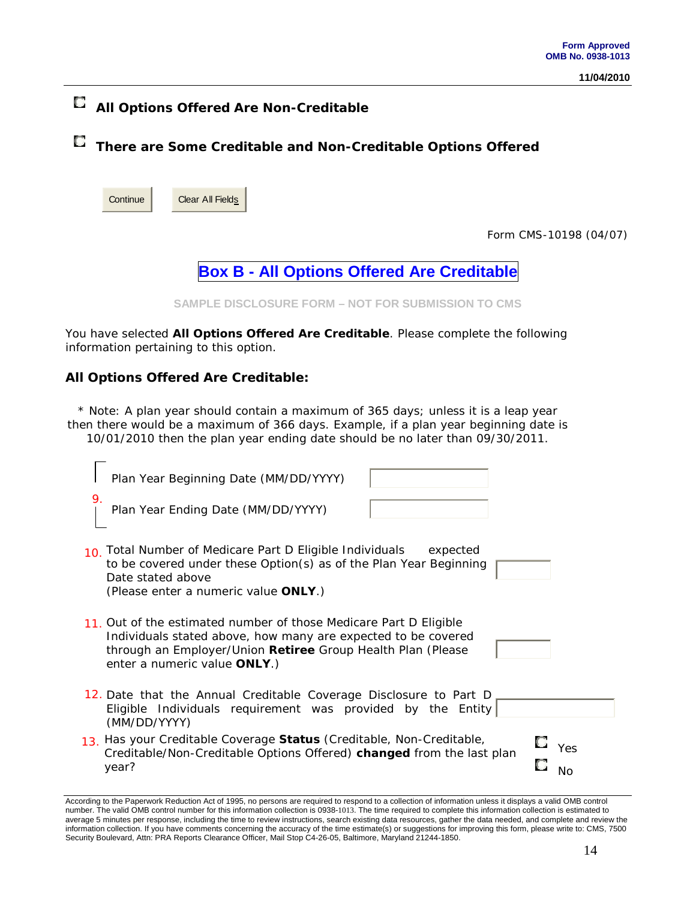# **All Options Offered Are Non-Creditable**

**There are Some Creditable and Non-Creditable Options Offered**

| Continue | <b>Clear All Fields</b> |
|----------|-------------------------|
|----------|-------------------------|

Form CMS-10198 (04/07)

**Box B - All Options Offered Are Creditable**

**SAMPLE DISCLOSURE FORM – NOT FOR SUBMISSION TO CMS**

You have selected **All Options Offered Are Creditable**. Please complete the following information pertaining to this option.

#### **All Options Offered Are Creditable:**

\* Note: A plan year should contain a maximum of 365 days; unless it is a leap year then there would be a maximum of 366 days. Example, if a plan year beginning date is 10/01/2010 then the plan year ending date should be no later than 09/30/2011.

| Plan Year Beginning Date (MM/DD/YYYY)                                                                                                                                                                                             |           |
|-----------------------------------------------------------------------------------------------------------------------------------------------------------------------------------------------------------------------------------|-----------|
| 9.<br>Plan Year Ending Date (MM/DD/YYYY)                                                                                                                                                                                          |           |
| 10. Total Number of Medicare Part D Eligible Individuals<br>expected<br>to be covered under these Option(s) as of the Plan Year Beginning<br>Date stated above<br>(Please enter a numeric value ONLY.)                            |           |
| 11. Out of the estimated number of those Medicare Part D Eligible<br>Individuals stated above, how many are expected to be covered<br>through an Employer/Union Retiree Group Health Plan (Please<br>enter a numeric value ONLY.) |           |
| 12. Date that the Annual Creditable Coverage Disclosure to Part D<br>Eligible Individuals requirement was provided by the Entity<br>(MM/DD/YYYY)                                                                                  |           |
| 13. Has your Creditable Coverage Status (Creditable, Non-Creditable,<br>Creditable/Non-Creditable Options Offered) changed from the last plan<br>year?                                                                            | Yes<br>No |

According to the Paperwork Reduction Act of 1995, no persons are required to respond to a collection of information unless it displays a valid OMB control number. The valid OMB control number for this information collection is 0938-1013. The time required to complete this information collection is estimated to average 5 minutes per response, including the time to review instructions, search existing data resources, gather the data needed, and complete and review the information collection. If you have comments concerning the accuracy of the time estimate(s) or suggestions for improving this form, please write to: CMS, 7500 Security Boulevard, Attn: PRA Reports Clearance Officer, Mail Stop C4-26-05, Baltimore, Maryland 21244-1850.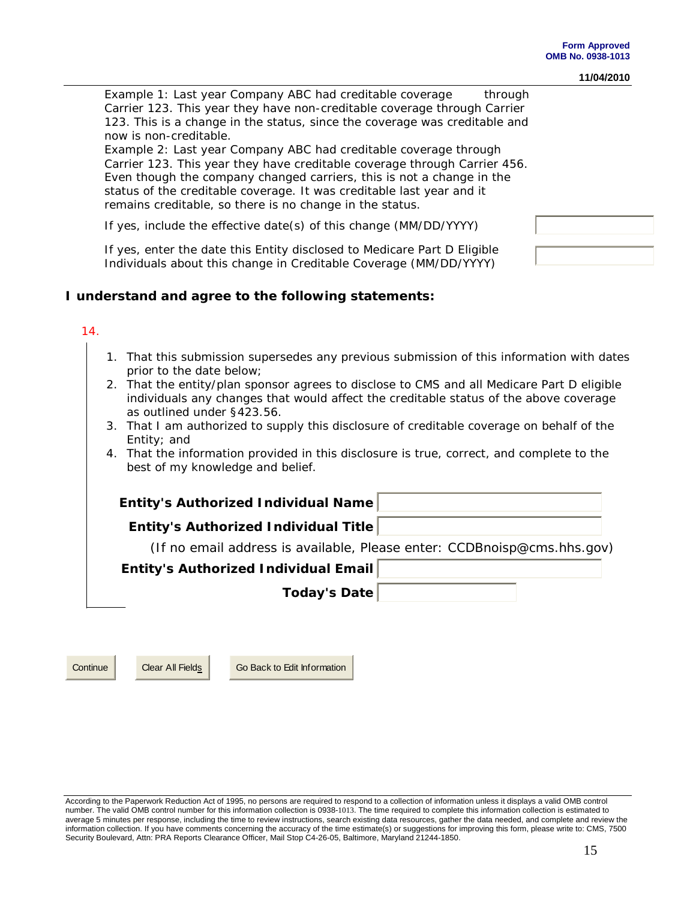| Example 1: Last year Company ABC had creditable coverage<br>through        |  |
|----------------------------------------------------------------------------|--|
| Carrier 123. This year they have non-creditable coverage through Carrier   |  |
| 123. This is a change in the status, since the coverage was creditable and |  |
| now is non-creditable.                                                     |  |
| Example 2: Last year Company ABC had creditable coverage through           |  |
| Carrier 123. This year they have creditable coverage through Carrier 456.  |  |
| Even though the company changed carriers, this is not a change in the      |  |
| status of the creditable coverage. It was creditable last year and it      |  |
| remains creditable, so there is no change in the status.                   |  |
|                                                                            |  |
| If yes, include the effective date(s) of this change (MM/DD/YYYY)          |  |
|                                                                            |  |
| If yes, enter the date this Entity disclosed to Medicare Part D Eligible   |  |
| Individuals about this change in Creditable Coverage (MM/DD/YYYY)          |  |

#### **I understand and agree to the following statements:**

#### 14.

- 1. That this submission supersedes any previous submission of this information with dates prior to the date below;
- 2. That the entity/plan sponsor agrees to disclose to CMS and all Medicare Part D eligible individuals any changes that would affect the creditable status of the above coverage as outlined under §423.56.
- 3. That I am authorized to supply this disclosure of creditable coverage on behalf of the Entity; and
- 4. That the information provided in this disclosure is true, correct, and complete to the best of my knowledge and belief.

**Entity's Authorized Individual Name Entity's Authorized Individual Title**  (If no email address is available, Please enter: *CCDBnoisp@cms.hhs.gov*) **Entity's Authorized Individual Email Today's Date** 

Continue Clear All Fields Go Back to Edit Information

According to the Paperwork Reduction Act of 1995, no persons are required to respond to a collection of information unless it displays a valid OMB control number. The valid OMB control number for this information collection is 0938-1013. The time required to complete this information collection is estimated to average 5 minutes per response, including the time to review instructions, search existing data resources, gather the data needed, and complete and review the information collection. If you have comments concerning the accuracy of the time estimate(s) or suggestions for improving this form, please write to: CMS, 7500 Security Boulevard, Attn: PRA Reports Clearance Officer, Mail Stop C4-26-05, Baltimore, Maryland 21244-1850.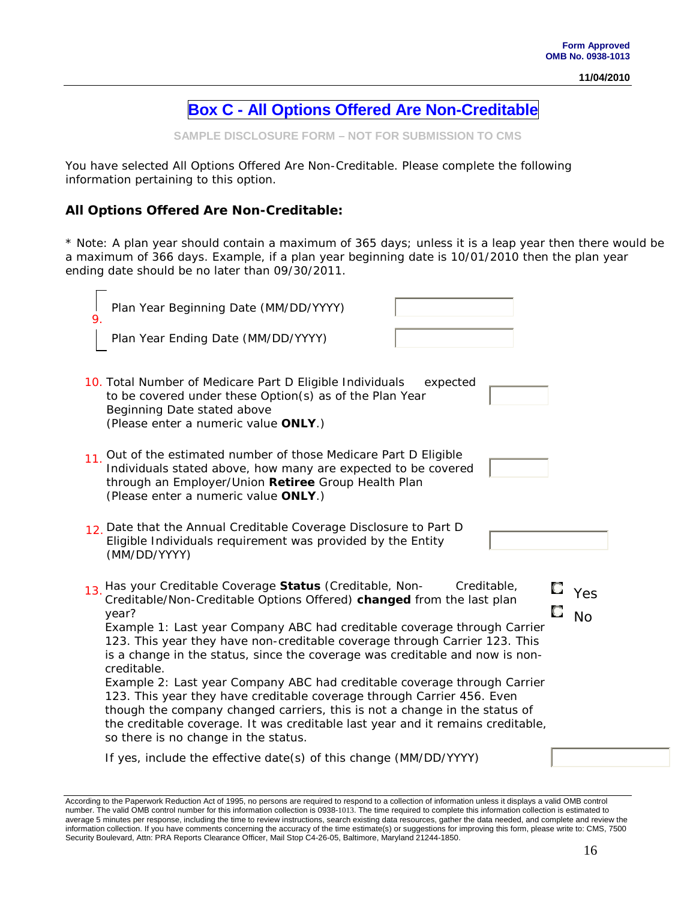## **Box C - All Options Offered Are Non-Creditable**

**SAMPLE DISCLOSURE FORM – NOT FOR SUBMISSION TO CMS**

You have selected All Options Offered Are Non-Creditable. Please complete the following information pertaining to this option.

#### **All Options Offered Are Non-Creditable:**

\* Note: A plan year should contain a maximum of 365 days; unless it is a leap year then there would be a maximum of 366 days. Example, if a plan year beginning date is 10/01/2010 then the plan year ending date should be no later than 09/30/2011.

| Plan Year Beginning Date (MM/DD/YYYY)<br>9<br>Plan Year Ending Date (MM/DD/YYYY)                                                                                                                                                                                                                                                                                                                                                                                                                                                                                                                                                                                                                                                                                                      |                         |
|---------------------------------------------------------------------------------------------------------------------------------------------------------------------------------------------------------------------------------------------------------------------------------------------------------------------------------------------------------------------------------------------------------------------------------------------------------------------------------------------------------------------------------------------------------------------------------------------------------------------------------------------------------------------------------------------------------------------------------------------------------------------------------------|-------------------------|
| 10. Total Number of Medicare Part D Eligible Individuals<br>expected<br>to be covered under these Option(s) as of the Plan Year<br>Beginning Date stated above<br>(Please enter a numeric value ONLY.)                                                                                                                                                                                                                                                                                                                                                                                                                                                                                                                                                                                |                         |
| 11. Out of the estimated number of those Medicare Part D Eligible<br>Individuals stated above, how many are expected to be covered<br>through an Employer/Union Retiree Group Health Plan<br>(Please enter a numeric value ONLY.)                                                                                                                                                                                                                                                                                                                                                                                                                                                                                                                                                     |                         |
| 12 Date that the Annual Creditable Coverage Disclosure to Part D<br>Eligible Individuals requirement was provided by the Entity<br>(MM/DD/YYYY)                                                                                                                                                                                                                                                                                                                                                                                                                                                                                                                                                                                                                                       |                         |
| Has your Creditable Coverage Status (Creditable, Non-<br>Creditable,<br>13.<br>Creditable/Non-Creditable Options Offered) changed from the last plan<br>year?<br>Example 1: Last year Company ABC had creditable coverage through Carrier<br>123. This year they have non-creditable coverage through Carrier 123. This<br>is a change in the status, since the coverage was creditable and now is non-<br>creditable.<br>Example 2: Last year Company ABC had creditable coverage through Carrier<br>123. This year they have creditable coverage through Carrier 456. Even<br>though the company changed carriers, this is not a change in the status of<br>the creditable coverage. It was creditable last year and it remains creditable,<br>so there is no change in the status. | $\Gamma$ Yes<br>С<br>No |
| If yes, include the effective date(s) of this change (MM/DD/YYYY)                                                                                                                                                                                                                                                                                                                                                                                                                                                                                                                                                                                                                                                                                                                     |                         |

According to the Paperwork Reduction Act of 1995, no persons are required to respond to a collection of information unless it displays a valid OMB control number. The valid OMB control number for this information collection is 0938-1013. The time required to complete this information collection is estimated to average 5 minutes per response, including the time to review instructions, search existing data resources, gather the data needed, and complete and review the information collection. If you have comments concerning the accuracy of the time estimate(s) or suggestions for improving this form, please write to: CMS, 7500 Security Boulevard, Attn: PRA Reports Clearance Officer, Mail Stop C4-26-05, Baltimore, Maryland 21244-1850.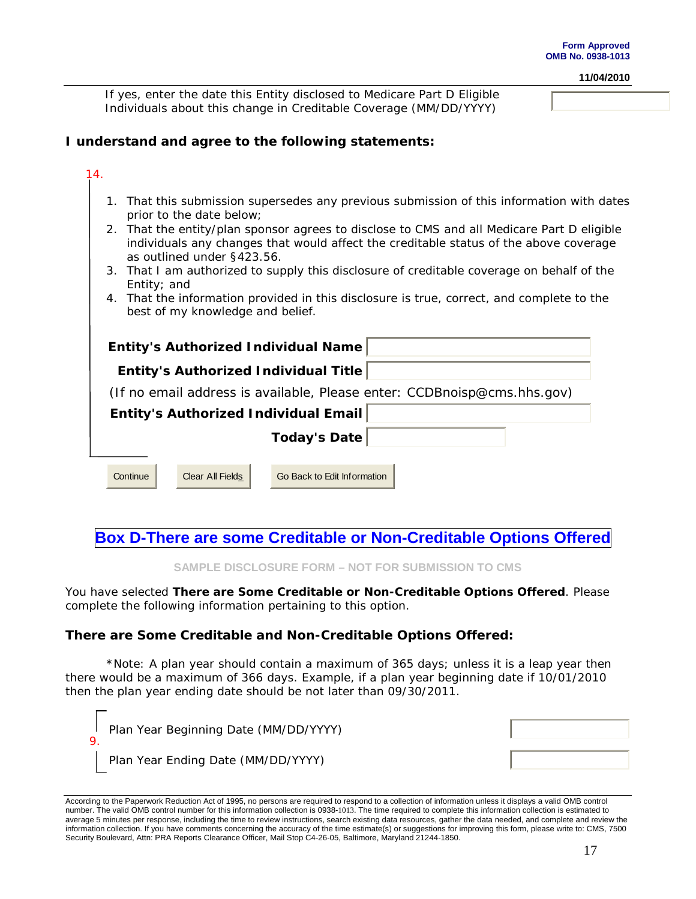If yes, enter the date this Entity disclosed to Medicare Part D Eligible Individuals about this change in Creditable Coverage (MM/DD/YYYY)

#### **I understand and agree to the following statements:**

#### 14.

- 1. That this submission supersedes any previous submission of this information with dates prior to the date below;
- 2. That the entity/plan sponsor agrees to disclose to CMS and all Medicare Part D eligible individuals any changes that would affect the creditable status of the above coverage as outlined under §423.56.
- 3. That I am authorized to supply this disclosure of creditable coverage on behalf of the Entity; and
- 4. That the information provided in this disclosure is true, correct, and complete to the best of my knowledge and belief.

| Entity's Authorized Individual Name                                        |  |  |  |
|----------------------------------------------------------------------------|--|--|--|
| Entity's Authorized Individual Title                                       |  |  |  |
| (If no email address is available, Please enter: $CCDBnoisp@cms.hhs.gov$ ) |  |  |  |
| Entity's Authorized Individual Email                                       |  |  |  |
| <b>Today's Date</b>                                                        |  |  |  |
|                                                                            |  |  |  |
| Continue<br>Go Back to Edit Information<br>Clear All Fields                |  |  |  |
|                                                                            |  |  |  |

**Box D-There are some Creditable or Non-Creditable Options Offered**

**SAMPLE DISCLOSURE FORM – NOT FOR SUBMISSION TO CMS**

You have selected **There are Some Creditable or Non-Creditable Options Offered**. Please complete the following information pertaining to this option.

#### **There are Some Creditable and Non-Creditable Options Offered:**

\*Note: A plan year should contain a maximum of 365 days; unless it is a leap year then there would be a maximum of 366 days. Example, if a plan year beginning date if 10/01/2010 then the plan year ending date should be not later than 09/30/2011.

| Plan Year Beginning Date (MM/DD/YYYY) |  |
|---------------------------------------|--|
| Plan Year Ending Date (MM/DD/YYYY)    |  |

According to the Paperwork Reduction Act of 1995, no persons are required to respond to a collection of information unless it displays a valid OMB control number. The valid OMB control number for this information collection is 0938-1013. The time required to complete this information collection is estimated to average 5 minutes per response, including the time to review instructions, search existing data resources, gather the data needed, and complete and review the information collection. If you have comments concerning the accuracy of the time estimate(s) or suggestions for improving this form, please write to: CMS, 7500 Security Boulevard, Attn: PRA Reports Clearance Officer, Mail Stop C4-26-05, Baltimore, Maryland 21244-1850.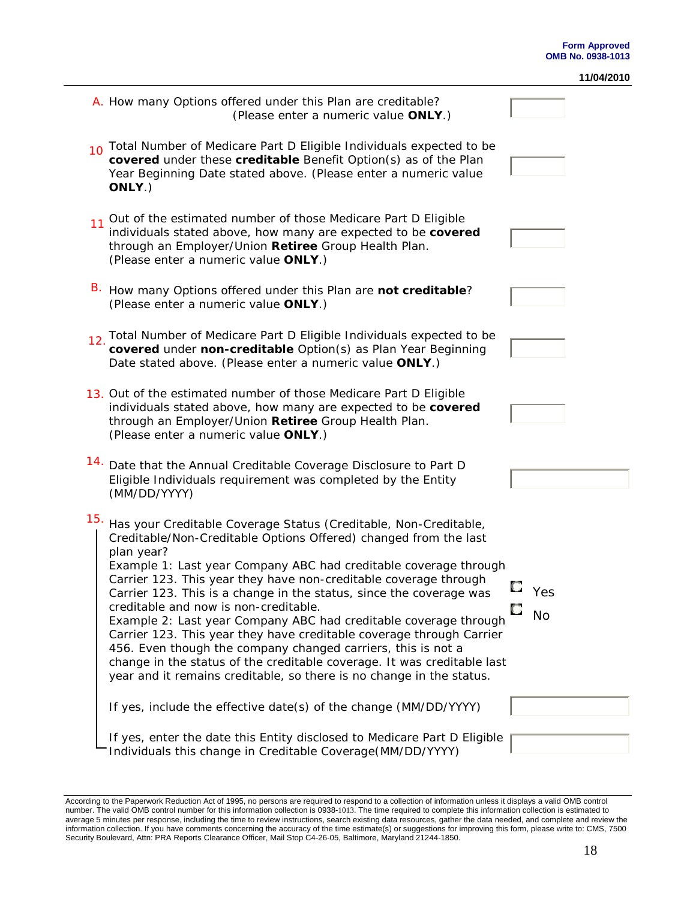|     |                                                                                                                                                                                                                                                                                                                                                                                                                                                                                                                                                                                                                                                                                                                                                                           |                                | 11/04/2010 |
|-----|---------------------------------------------------------------------------------------------------------------------------------------------------------------------------------------------------------------------------------------------------------------------------------------------------------------------------------------------------------------------------------------------------------------------------------------------------------------------------------------------------------------------------------------------------------------------------------------------------------------------------------------------------------------------------------------------------------------------------------------------------------------------------|--------------------------------|------------|
|     | A. How many Options offered under this Plan are creditable?<br>(Please enter a numeric value ONLY.)                                                                                                                                                                                                                                                                                                                                                                                                                                                                                                                                                                                                                                                                       |                                |            |
| 10  | Total Number of Medicare Part D Eligible Individuals expected to be<br>covered under these creditable Benefit Option(s) as of the Plan<br>Year Beginning Date stated above. (Please enter a numeric value<br>ONLY.)                                                                                                                                                                                                                                                                                                                                                                                                                                                                                                                                                       |                                |            |
| 11  | Out of the estimated number of those Medicare Part D Eligible<br>individuals stated above, how many are expected to be covered<br>through an Employer/Union Retiree Group Health Plan.<br>(Please enter a numeric value ONLY.)                                                                                                                                                                                                                                                                                                                                                                                                                                                                                                                                            |                                |            |
| В.  | How many Options offered under this Plan are not creditable?<br>(Please enter a numeric value ONLY.)                                                                                                                                                                                                                                                                                                                                                                                                                                                                                                                                                                                                                                                                      |                                |            |
| 12. | Total Number of Medicare Part D Eligible Individuals expected to be<br>covered under non-creditable Option(s) as Plan Year Beginning<br>Date stated above. (Please enter a numeric value ONLY.)                                                                                                                                                                                                                                                                                                                                                                                                                                                                                                                                                                           |                                |            |
|     | 13. Out of the estimated number of those Medicare Part D Eligible<br>individuals stated above, how many are expected to be covered<br>through an Employer/Union Retiree Group Health Plan.<br>(Please enter a numeric value ONLY.)                                                                                                                                                                                                                                                                                                                                                                                                                                                                                                                                        |                                |            |
| 14. | Date that the Annual Creditable Coverage Disclosure to Part D<br>Eligible Individuals requirement was completed by the Entity<br>(MM/DD/YYYY)                                                                                                                                                                                                                                                                                                                                                                                                                                                                                                                                                                                                                             |                                |            |
| 15. | Has your Creditable Coverage Status (Creditable, Non-Creditable,<br>Creditable/Non-Creditable Options Offered) changed from the last<br>plan year?<br>Example 1: Last year Company ABC had creditable coverage through<br>Carrier 123. This year they have non-creditable coverage through<br>Carrier 123. This is a change in the status, since the coverage was<br>creditable and now is non-creditable.<br>Example 2: Last year Company ABC had creditable coverage through<br>Carrier 123. This year they have creditable coverage through Carrier<br>456. Even though the company changed carriers, this is not a<br>change in the status of the creditable coverage. It was creditable last<br>year and it remains creditable, so there is no change in the status. | t, a<br>Yes<br>Ł.<br><b>No</b> |            |
|     | If yes, include the effective date(s) of the change (MM/DD/YYYY)                                                                                                                                                                                                                                                                                                                                                                                                                                                                                                                                                                                                                                                                                                          |                                |            |
|     | If yes, enter the date this Entity disclosed to Medicare Part D Eligible<br>Individuals this change in Creditable Coverage(MM/DD/YYYY)                                                                                                                                                                                                                                                                                                                                                                                                                                                                                                                                                                                                                                    |                                |            |

According to the Paperwork Reduction Act of 1995, no persons are required to respond to a collection of information unless it displays a valid OMB control<br>number. The valid OMB control number for this information collectio average 5 minutes per response, including the time to review instructions, search existing data resources, gather the data needed, and complete and review the information collection. If you have comments concerning the accuracy of the time estimate(s) or suggestions for improving this form, please write to: CMS, 7500 Security Boulevard, Attn: PRA Reports Clearance Officer, Mail Stop C4-26-05, Baltimore, Maryland 21244-1850.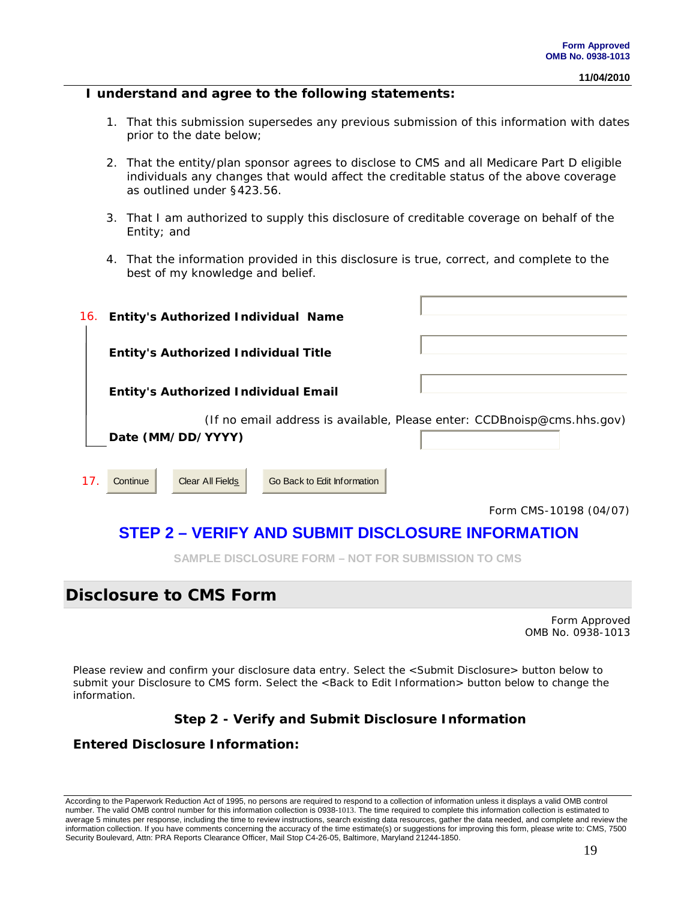#### **I understand and agree to the following statements:**

- 1. That this submission supersedes any previous submission of this information with dates prior to the date below;
- 2. That the entity/plan sponsor agrees to disclose to CMS and all Medicare Part D eligible individuals any changes that would affect the creditable status of the above coverage as outlined under §423.56.
- 3. That I am authorized to supply this disclosure of creditable coverage on behalf of the Entity; and
- 4. That the information provided in this disclosure is true, correct, and complete to the best of my knowledge and belief.

| 16. | <b>Entity's Authorized Individual Name</b>  |                             |                                                                         |
|-----|---------------------------------------------|-----------------------------|-------------------------------------------------------------------------|
|     | <b>Entity's Authorized Individual Title</b> |                             |                                                                         |
|     | <b>Entity's Authorized Individual Email</b> |                             |                                                                         |
|     | Date (MM/DD/YYYY)                           |                             | (If no email address is available, Please enter: CCDBnoisp@cms.hhs.gov) |
| 17. | <b>Clear All Fields</b><br>Continue         | Go Back to Edit Information |                                                                         |
|     |                                             |                             | Form CMS-10198 (04/07)                                                  |
|     | eti<br>DIEV<br>e de la                      | $\bullet$                   | <b>DISCLOSUBE INFORMATION</b>                                           |

## **STEP 2 – VERIFY AND SUBMIT DISCLOSURE INFORMATION**

**SAMPLE DISCLOSURE FORM – NOT FOR SUBMISSION TO CMS**

## **Disclosure to CMS Form**

Form Approved OMB No. 0938-1013

Please review and confirm your disclosure data entry. Select the <Submit Disclosure> button below to submit your Disclosure to CMS form. Select the <Back to Edit Information> button below to change the information.

#### **Step 2 - Verify and Submit Disclosure Information**

#### **Entered Disclosure Information:**

According to the Paperwork Reduction Act of 1995, no persons are required to respond to a collection of information unless it displays a valid OMB control number. The valid OMB control number for this information collection is 0938-1013. The time required to complete this information collection is estimated to average 5 minutes per response, including the time to review instructions, search existing data resources, gather the data needed, and complete and review the information collection. If you have comments concerning the accuracy of the time estimate(s) or suggestions for improving this form, please write to: CMS, 7500 Security Boulevard, Attn: PRA Reports Clearance Officer, Mail Stop C4-26-05, Baltimore, Maryland 21244-1850.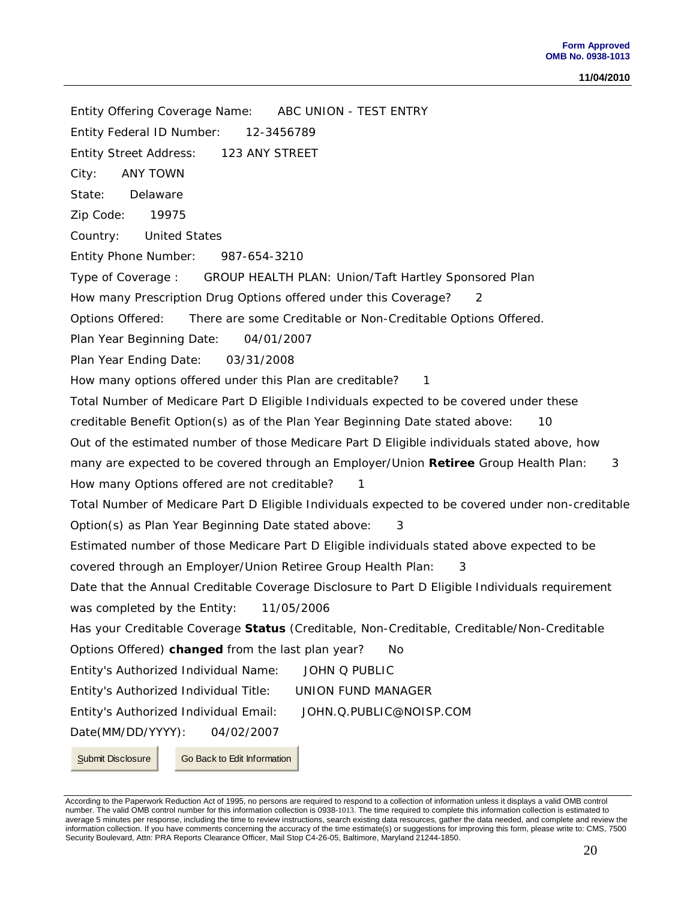Entity Offering Coverage Name: ABC UNION - TEST ENTRY Entity Federal ID Number: 12-3456789 Entity Street Address: 123 ANY STREET City: ANY TOWN State: Delaware Zip Code: 19975 Country: United States Entity Phone Number: 987-654-3210 Type of Coverage : GROUP HEALTH PLAN: Union/Taft Hartley Sponsored Plan How many Prescription Drug Options offered under this Coverage? 2 Options Offered: There are some Creditable or Non-Creditable Options Offered. Plan Year Beginning Date: 04/01/2007 Plan Year Ending Date: 03/31/2008 How many options offered under this Plan are creditable? 1 Total Number of Medicare Part D Eligible Individuals expected to be covered under these creditable Benefit Option(s) as of the Plan Year Beginning Date stated above: 10 Out of the estimated number of those Medicare Part D Eligible individuals stated above, how many are expected to be covered through an Employer/Union **Retiree** Group Health Plan: 3 How many Options offered are not creditable? 1 Total Number of Medicare Part D Eligible Individuals expected to be covered under non-creditable Option(s) as Plan Year Beginning Date stated above: 3 Estimated number of those Medicare Part D Eligible individuals stated above expected to be covered through an Employer/Union Retiree Group Health Plan: 3 Date that the Annual Creditable Coverage Disclosure to Part D Eligible Individuals requirement was completed by the Entity: 11/05/2006 Has your Creditable Coverage **Status** (Creditable, Non-Creditable, Creditable/Non-Creditable Options Offered) **changed** from the last plan year? No Entity's Authorized Individual Name: JOHN Q PUBLIC Entity's Authorized Individual Title: UNION FUND MANAGER Entity's Authorized Individual Email: JOHN.Q.PUBLIC@NOISP.COM Date(MM/DD/YYYY): 04/02/2007 Submit Disclosure Go Back to Edit Information

According to the Paperwork Reduction Act of 1995, no persons are required to respond to a collection of information unless it displays a valid OMB control number. The valid OMB control number for this information collection is 0938-1013. The time required to complete this information collection is estimated to average 5 minutes per response, including the time to review instructions, search existing data resources, gather the data needed, and complete and review the information collection. If you have comments concerning the accuracy of the time estimate(s) or suggestions for improving this form, please write to: CMS, 7500 Security Boulevard, Attn: PRA Reports Clearance Officer, Mail Stop C4-26-05, Baltimore, Maryland 21244-1850.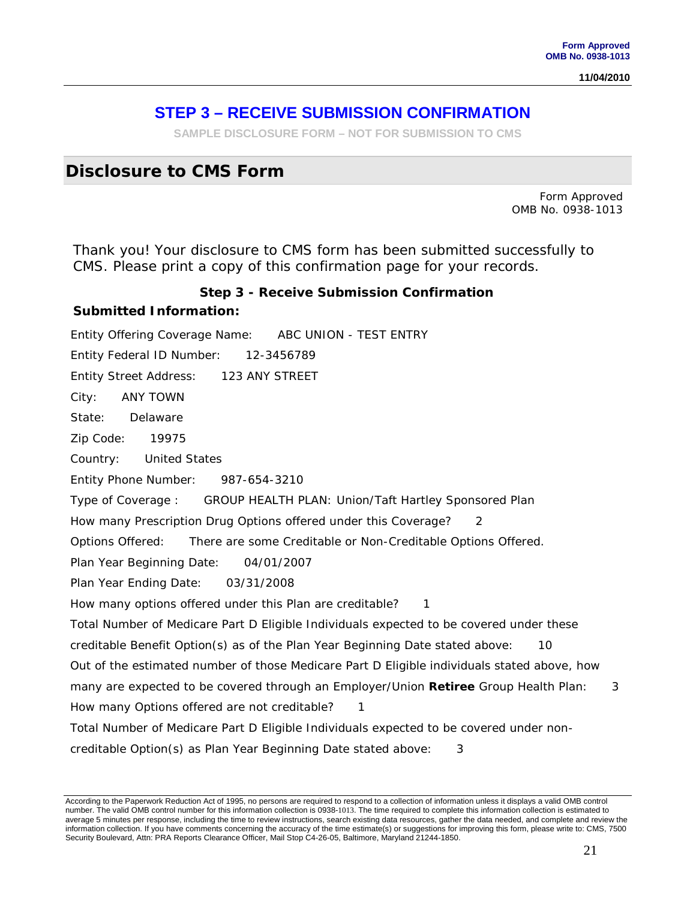## **STEP 3 – RECEIVE SUBMISSION CONFIRMATION**

**SAMPLE DISCLOSURE FORM – NOT FOR SUBMISSION TO CMS**

## **Disclosure to CMS Form**

Form Approved OMB No. 0938-1013

Thank you! Your disclosure to CMS form has been submitted successfully to CMS. Please print a copy of this confirmation page for your records.

#### **Step 3 - Receive Submission Confirmation**

#### **Submitted Information:**

Entity Offering Coverage Name: ABC UNION - TEST ENTRY Entity Federal ID Number: 12-3456789 Entity Street Address: 123 ANY STREET City: ANY TOWN State: Delaware Zip Code: 19975 Country: United States Entity Phone Number: 987-654-3210 Type of Coverage : GROUP HEALTH PLAN: Union/Taft Hartley Sponsored Plan How many Prescription Drug Options offered under this Coverage? 2 Options Offered: There are some Creditable or Non-Creditable Options Offered. Plan Year Beginning Date: 04/01/2007 Plan Year Ending Date: 03/31/2008 How many options offered under this Plan are creditable? 1 Total Number of Medicare Part D Eligible Individuals expected to be covered under these creditable Benefit Option(s) as of the Plan Year Beginning Date stated above: 10 Out of the estimated number of those Medicare Part D Eligible individuals stated above, how many are expected to be covered through an Employer/Union **Retiree** Group Health Plan: 3 How many Options offered are not creditable? 1 Total Number of Medicare Part D Eligible Individuals expected to be covered under noncreditable Option(s) as Plan Year Beginning Date stated above: 3

According to the Paperwork Reduction Act of 1995, no persons are required to respond to a collection of information unless it displays a valid OMB control number. The valid OMB control number for this information collection is 0938-1013. The time required to complete this information collection is estimated to average 5 minutes per response, including the time to review instructions, search existing data resources, gather the data needed, and complete and review the information collection. If you have comments concerning the accuracy of the time estimate(s) or suggestions for improving this form, please write to: CMS, 7500 Security Boulevard, Attn: PRA Reports Clearance Officer, Mail Stop C4-26-05, Baltimore, Maryland 21244-1850.